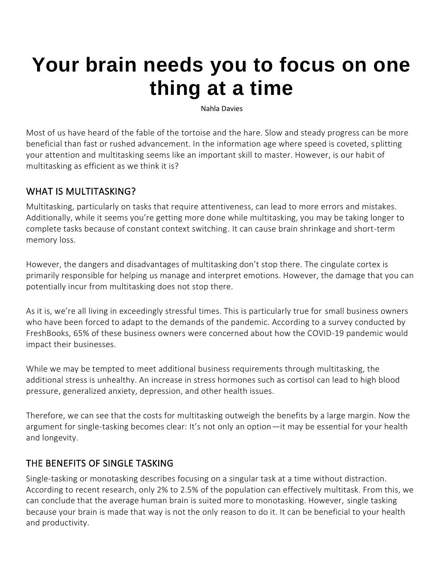# **[Your brain needs you to focus on one](https://www.fastcompany.com/90683396/your-brain-needs-you-to-focus-on-one-thing-at-a-time)  [thing at a time](https://www.fastcompany.com/90683396/your-brain-needs-you-to-focus-on-one-thing-at-a-time)**

Nahla Davies

Most of us have heard of the fable of the tortoise and the hare. Slow and steady progress can be more beneficial than fast or rushed advancement. In the information age where speed is coveted, splitting your attention and [multitasking](https://www.fastcompany.com/90537226/believing-these-3-myths-about-multitasking-may-be-ruining-your-productivity) seems like an important skill to master. However, is our habit of multitasking as efficient as we think it is?

## WHAT IS MULTITASKING?

Multitasking, particularly on tasks that require attentiveness, can lead to more errors and mistakes. Additionally, while it seems you're getting more done while multitasking, you may be taking longer to complete tasks because of constant context switching. It can cause brain shrinkage and short-term memory loss.

However, the dangers and disadvantages of multitasking don't stop there. The cingulate cortex is primarily responsible for helping us manage and interpret emotions. However, the damage that you can potentially incur from multitasking does not stop there.

As it is, we're all living in exceedingly stressful times. This is particularly true for [small business](https://www.fastcompany.com/90680614/why-its-time-small-and-midsize-businesses-embrace-the-ai-revolution) owners who have been [forced to adapt](https://www.fastcompany.com/90489203/5-creative-ways-small-businesses-are-succeeding-during-the-covid-19-quarantine) to the demands of the pandemic. According to a survey conducted by FreshBooks, [65% of these business owners](https://www.freshbooks.com/press/data-research/what-american-small-businesses-are-saying-about-the-impact-of-covid-19) were concerned about how the COVID-19 pandemic would impact their businesses.

While we may be tempted to meet additional business requirements through multitasking, the additional stress is unhealthy. An increase in stress hormones such as cortisol can lead to high blood pressure, generalized anxiety, depression, and other health issues.

Therefore, we can see that the costs for multitasking outweigh the benefits by a large margin. Now the argument for single-tasking becomes clear: It's not only an option—it may be essential for your health and longevity.

# THE BENEFITS OF SINGLE TASKING

Single-tasking or monotasking describes focusing on a singular task at a time without distraction. According to [recent research,](https://health.clevelandclinic.org/science-clear-multitasking-doesnt-work/) only 2% to 2.5% of the population can effectively multitask. From this, we can conclude that the average human brain is suited more to monotasking. However, single tasking because your brain is made that way is not the only reason to do it. It can be beneficial to your health and productivity.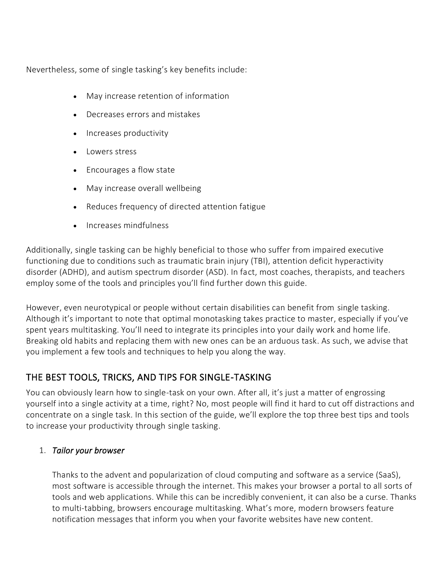Nevertheless, some of single tasking's [key benefits](https://www.verywellmind.com/single-tasking-for-productivity-and-stress-management-3144753) include:

- May increase retention of information
- Decreases errors and mistakes
- Increases productivity
- Lowers stress
- Encourages a flow state
- May increase overall wellbeing
- Reduces frequency of directed attention fatigue
- Increases mindfulness

Additionally, single tasking can be highly beneficial to those who suffer from impaired executive functioning due to conditions such as traumatic brain injury (TBI), attention deficit hyperactivity disorder (ADHD), and autism spectrum disorder (ASD). In fact, most coaches, therapists, and teachers employ some of the tools and principles you'll find further down this guide.

However, even neurotypical or people without certain disabilities can benefit from single tasking. Although it's important to note that optimal monotasking takes practice to master, especially if you've spent years multitasking. You'll need to integrate its principles into your daily work and home life. Breaking old habits and replacing them with new ones [can be an arduous task.](https://www.psychologytoday.com/us/blog/all-about-addiction/201903/why-is-it-so-hard-change-bad-habits) As such, we advise that you implement a few tools and techniques to help you along the way.

# THE BEST TOOLS, TRICKS, AND TIPS FOR SINGLE-TASKING

You can obviously learn how to single-task on your own. After all, it's just a matter of engrossing yourself into a single activity at a time, right? No, most people will find it hard to cut off distractions and concentrate on a single task. In this section of the guide, we'll explore the top three best tips and tools to increase your productivity through single tasking.

### 1. *Tailor your browser*

Thanks to the advent and popularization of cloud computing and software as a service (SaaS), most software is accessible through the internet. This makes your browser a portal to all sorts of tools and web applications. While this can be incredibly convenient, it can also be a curse. Thanks to multi-tabbing, browsers encourage multitasking. What's more, modern browsers feature notification messages that inform you when your favorite websites have new content.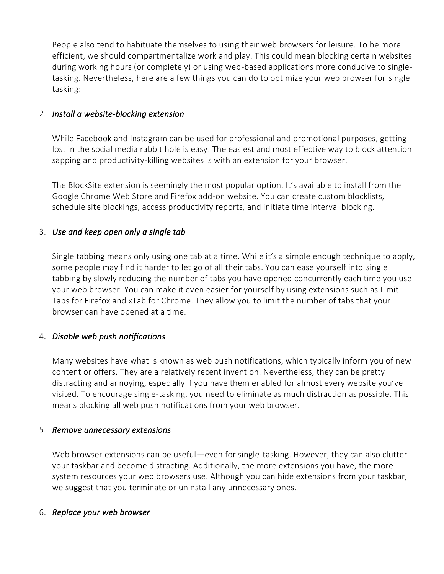People also tend to habituate themselves to using their web browsers for leisure. To be more efficient, we should compartmentalize work and play. This could mean blocking certain websites during working hours (or completely) or using web-based applications more conducive to singletasking. Nevertheless, here are a few things you can do to optimize your web browser for single tasking:

### 2. *Install a website-blocking extension*

While Facebook and Instagram can be used for professional and promotional purposes, getting lost in the social media rabbit hole is easy. The easiest and most effective way to block attention sapping and productivity-killing websites is with an extension for your browser.

The BlockSite extension is seemingly the most popular option. It's available to install from the Google Chrome Web Store and Firefox add-on website. You can create custom blocklists, schedule site blockings, access productivity reports, and initiate time interval blocking.

### 3. *Use and keep open only a single tab*

Single tabbing means only using one tab at a time. While it's a simple enough technique to apply, some people may find it harder to let go of all their tabs. You can ease yourself into single tabbing by slowly reducing the number of tabs you have opened concurrently each time you use your web browser. You can make it even easier for yourself by using extensions such as Limit Tabs for Firefox and xTab for Chrome. They allow you to limit the number of tabs that your browser can have opened at a time.

### 4. *Disable web push notifications*

Many websites have what is known as web push notifications, which typically inform you of new content or offers. They are a relatively recent invention. Nevertheless, they can be pretty distracting and annoying, especially if you have them enabled for almost every website you've visited. To encourage single-tasking, you need to eliminate as much distraction as possible. This means blocking all web push notifications from your web browser.

#### 5. *Remove unnecessary extensions*

Web browser [extensions can be useful](https://www.fastcompany.com/90294977/these-10-inspired-chrome-add-ons-will-change-the-way-you-work)—even for single-tasking. However, they can also clutter your taskbar and become distracting. Additionally, the more extensions you have, the more system resources your web browsers use. Although you can hide extensions from your taskbar, we suggest that you terminate or uninstall any unnecessary ones.

#### 6. *Replace your web browser*